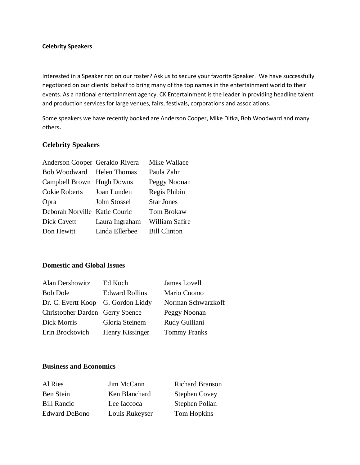#### **Celebrity Speakers**

Interested in a Speaker not on our roster? Ask us to secure your favorite Speaker. We have successfully negotiated on our clients' behalf to bring many of the top names in the entertainment world to their events. As a national entertainment agency, CK Entertainment is the leader in providing headline talent and production services for large venues, fairs, festivals, corporations and associations.

Some speakers we have recently booked are Anderson Cooper, Mike Ditka, Bob Woodward and many others**.**

#### **Celebrity Speakers**

| Anderson Cooper Geraldo Rivera |                | Mike Wallace        |
|--------------------------------|----------------|---------------------|
| Bob Woodward Helen Thomas      |                | Paula Zahn          |
| Campbell Brown Hugh Downs      |                | Peggy Noonan        |
| Cokie Roberts                  | Joan Lunden    | Regis Phibin        |
| Opra                           | John Stossel   | <b>Star Jones</b>   |
| Deborah Norville Katie Couric  |                | Tom Brokaw          |
| <b>Dick Cavett</b>             | Laura Ingraham | William Safire      |
| Don Hewitt                     | Linda Ellerbee | <b>Bill Clinton</b> |
|                                |                |                     |

### **Domestic and Global Issues**

| Alan Dershowitz                    | Ed Koch               | James Lovell        |
|------------------------------------|-----------------------|---------------------|
| <b>Bob Dole</b>                    | <b>Edward Rollins</b> | Mario Cuomo         |
| Dr. C. Evertt Koop G. Gordon Liddy |                       | Norman Schwarzkoff  |
| Christopher Darden Gerry Spence    |                       | Peggy Noonan        |
| Dick Morris                        | Gloria Steinem        | Rudy Guiliani       |
| Erin Brockovich                    | Henry Kissinger       | <b>Tommy Franks</b> |

### **Business and Economics**

| Al Ries              | Jim McCann     | <b>Richard Branson</b> |
|----------------------|----------------|------------------------|
| Ben Stein            | Ken Blanchard  | <b>Stephen Covey</b>   |
| <b>Bill Rancic</b>   | Lee Iaccoca    | Stephen Pollan         |
| <b>Edward DeBono</b> | Louis Rukeyser | Tom Hopkins            |